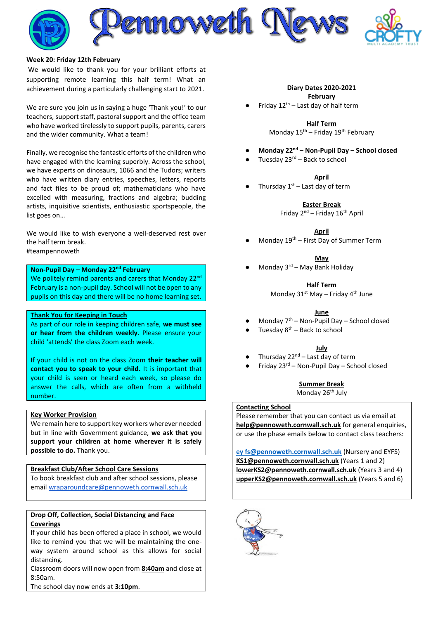

#### **Week 20: Friday 12th February**

We would like to thank you for your brilliant efforts at supporting remote learning this half term! What an achievement during a particularly challenging start to 2021.

We are sure you join us in saying a huge 'Thank you!' to our teachers, support staff, pastoral support and the office team who have worked tirelessly to support pupils, parents, carers and the wider community. What a team!

Finally, we recognise the fantastic efforts of the children who have engaged with the learning superbly. Across the school, we have experts on dinosaurs, 1066 and the Tudors; writers who have written diary entries, speeches, letters, reports and fact files to be proud of; mathematicians who have excelled with measuring, fractions and algebra; budding artists, inquisitive scientists, enthusiastic sportspeople, the list goes on…

We would like to wish everyone a well-deserved rest over the half term break. #teampennoweth

**Non-Pupil Day – Monday 22nd February** We politely remind parents and carers that Monday 22<sup>nd</sup> February is a non-pupil day. School will not be open to any pupils on this day and there will be no home learning set.

#### **Thank You for Keeping in Touch**

As part of our role in keeping children safe, **we must see or hear from the children weekly**. Please ensure your child 'attends' the class Zoom each week.

If your child is not on the class Zoom **their teacher will contact you to speak to your child.** It is important that your child is seen or heard each week, so please do answer the calls, which are often from a withheld number.

#### **Key Worker Provision**

We remain here to support key workers wherever needed but in line with Government guidance, **we ask that you support your children at home wherever it is safely possible to do.** Thank you.

#### **Breakfast Club/After School Care Sessions**

To book breakfast club and after school sessions, please email [wraparoundcare@pennoweth.cornwall.sch.uk](mailto:wraparoundcare@pennoweth.cornwall.sch.uk)

### **Drop Off, Collection, Social Distancing and Face Coverings**

If your child has been offered a place in school, we would like to remind you that we will be maintaining the oneway system around school as this allows for social distancing.

Classroom doors will now open from **8:40am** and close at 8:50am.

The school day now ends at **3:10pm**.

#### **Diary Dates 2020-2021**

**February** Friday  $12<sup>th</sup>$  – Last day of half term

> **Half Term** Monday  $15^{th}$  – Friday  $19^{th}$  February

- **Monday 22nd – Non-Pupil Day – School closed**
- Tuesday  $23^{rd}$  Back to school

#### **April**

Thursday  $1<sup>st</sup>$  – Last day of term

**Easter Break** Friday 2nd – Friday 16th April

**April**

Monday  $19^{th}$  – First Day of Summer Term

**May**

Monday  $3<sup>rd</sup>$  – May Bank Holiday

**Half Term**

Monday  $31^{st}$  May – Friday  $4^{th}$  June

#### **June**

- Monday  $7<sup>th</sup>$  Non-Pupil Day School closed
- Tuesday  $8<sup>th</sup>$  Back to school

#### **July**

- Thursday  $22^{nd}$  Last day of term
- Friday 23<sup>rd</sup> Non-Pupil Day School closed

### **Summer Break**

Monday 26<sup>th</sup> July

#### **Contacting School**

Please remember that you can contact us via email at **[help@pennoweth.cornwall.sch.uk](mailto:help@pennoweth.cornwall.sch.uk)** for general enquiries, or use the phase emails below to contact class teachers:

**[ey fs@pennoweth.cornwall.sch.uk](mailto:ey%20fs@pennoweth.cornwall.sch.uk)** (Nursery and EYFS) **[KS1@pennoweth.cornwall.sch.uk](mailto:KS1@pennoweth.cornwall.sch.uk)** (Years 1 and 2) **[lowerKS2@pennoweth.cornwall.sch.uk](mailto:lowerKS2@pennoweth.cornwall.sch.uk)** (Years 3 and 4) **[upperKS2@pennoweth.cornwall.sch.uk](mailto:upperKS2@pennoweth.cornwall.sch.uk)** (Years 5 and 6)

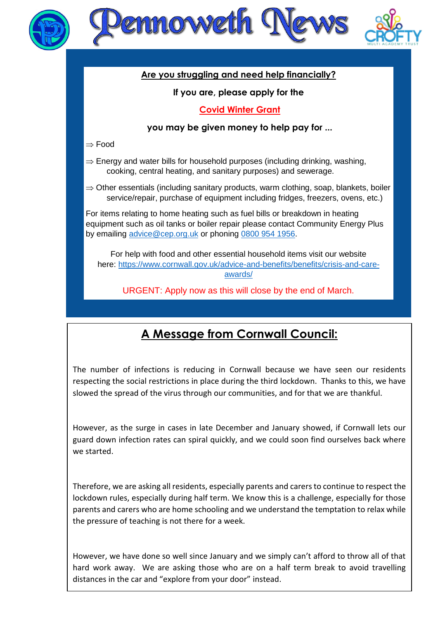



## **Are you struggling and need help financially?**

### **If you are, please apply for the**

### **Covid Winter Grant**

### **you may be given money to help pay for ...**

 $\Rightarrow$  Food

 $\Rightarrow$  Energy and water bills for household purposes (including drinking, washing, cooking, central heating, and sanitary purposes) and sewerage.

 $\Rightarrow$  Other essentials (including sanitary products, warm clothing, soap, blankets, boiler service/repair, purchase of equipment including fridges, freezers, ovens, etc.)

For items relating to home heating such as fuel bills or breakdown in heating equipment such as oil tanks or boiler repair please contact Community Energy Plus by emailing [advice@cep.org.uk](mailto:advice@cep.org.uk) or phoning [0800 954 1956.](tel:0800%20954%201956)

For help with food and other essential household items visit our website here: [https://www.cornwall.gov.uk/advice-and-benefits/benefits/crisis-and-care](https://www.cornwall.gov.uk/advice-and-benefits/benefits/crisis-and-care-awards/)[awards/](https://www.cornwall.gov.uk/advice-and-benefits/benefits/crisis-and-care-awards/)

URGENT: Apply now as this will close by the end of March.

# **A Message from Cornwall Council:**

The number of infections is reducing in Cornwall because we have seen our residents respecting the social restrictions in place during the third lockdown. Thanks to this, we have slowed the spread of the virus through our communities, and for that we are thankful.

However, as the surge in cases in late December and January showed, if Cornwall lets our guard down infection rates can spiral quickly, and we could soon find ourselves back where we started.

Therefore, we are asking all residents, especially parents and carers to continue to respect the lockdown rules, especially during half term. We know this is a challenge, especially for those parents and carers who are home schooling and we understand the temptation to relax while the pressure of teaching is not there for a week.

However, we have done so well since January and we simply can't afford to throw all of that hard work away. We are asking those who are on a half term break to avoid travelling distances in the car and "explore from your door" instead.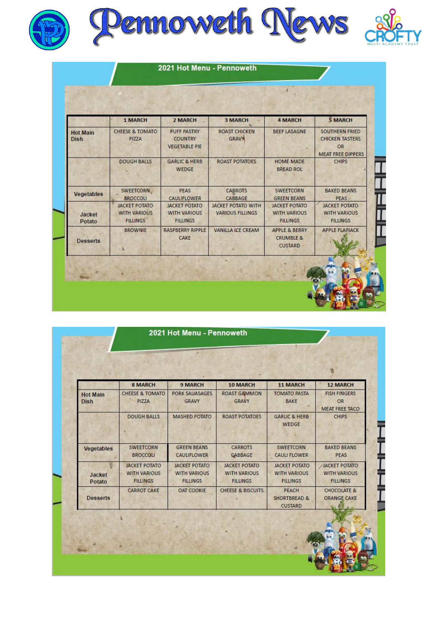



|                                | 1 MARCH                                                        | 2 MARCH                                                        | <b>3 MARCH</b>                                       | <b>4 MARCH</b>                                                     | <b>5 MARCH</b>                                                                    |
|--------------------------------|----------------------------------------------------------------|----------------------------------------------------------------|------------------------------------------------------|--------------------------------------------------------------------|-----------------------------------------------------------------------------------|
| <b>Hot Main</b><br><b>Dish</b> | <b>CHEESE &amp; TOMATO</b><br>PIZZA                            | <b>PUFF PASTRY</b><br><b>COUNTRY</b><br><b>VEGETABLE PIE</b>   | <b>ROAST CHICKEN</b><br><b>GRAVY</b>                 | <b>BEEF LASAGNE</b>                                                | <b>SOUTHERN FRIED</b><br><b>CHICKEN TASTERS</b><br>OR<br><b>MEAT FREE DIPPERS</b> |
|                                | <b>DOUGH BALLS</b>                                             | <b>GARLIC &amp; HERB</b><br><b>WEDGE</b>                       | <b>ROAST POTATOES</b>                                | <b>HOME MADE</b><br><b>BREAD ROL</b>                               | <b>CHIPS</b>                                                                      |
| Vegetables                     | SWEETCORN.<br><b>BROCCOLI</b>                                  | <b>PEAS</b><br><b>CAULIFLOWER</b>                              | <b>CARROTS</b><br>CABBAGE                            | SWEETCORN<br><b>GREEN BEANS</b>                                    | <b>BAKED BEANS</b><br><b>PEAS</b>                                                 |
| Jacket<br>Potato               | <b>JACKET POTATO</b><br><b>WITH VARIOUS</b><br><b>FILLINGS</b> | <b>JACKET POTATO</b><br><b>WITH VARIOUS</b><br><b>FILLINGS</b> | <b>JACKET POTATO WITH</b><br><b>VARIOUS FILLINGS</b> | <b>JACKET POTATO</b><br><b>WITH VARIOUS</b><br><b>FILLINGS</b>     | <b>JACKET POTATO</b><br><b>WITH VARIOUS</b><br><b>FILLINGS</b>                    |
| <b>Desserts</b>                | <b>BROWNIE</b>                                                 | <b>RASPBERRY RIPPLE</b><br>CAKE                                | <b>VANILLA ICE CREAM</b>                             | <b>APPLE &amp; BERRY</b><br><b>CRUMBLE &amp;</b><br><b>CUSTARD</b> | <b>APPLE FLAPJACK</b>                                                             |

|                                | 8 MARCH                                                        | <b>9 MARCH</b>                                                 | 10 MARCH                                                       | <b>11 MARCH</b>                                                | <b>12 MARCH</b>                                           |
|--------------------------------|----------------------------------------------------------------|----------------------------------------------------------------|----------------------------------------------------------------|----------------------------------------------------------------|-----------------------------------------------------------|
| <b>Hot Main</b><br><b>Dish</b> | <b>CHEESE &amp; TOMATO</b><br>PIZZA                            | <b>PORK SAUASAGES</b><br><b>GRAVY</b>                          | <b>ROAST GAMMON</b><br><b>GRAVY</b>                            | <b>TOMATO PASTA</b><br><b>BAKE</b>                             | <b>FISH FINGERS</b><br><b>OR</b><br><b>MEAT FREE TACO</b> |
|                                | <b>DOUGH BALLS</b>                                             | <b>MASHED POTATO</b>                                           | <b>ROAST POTATOES</b>                                          | <b>GARLIC &amp; HERB</b><br>WEDGE                              | <b>CHIPS</b>                                              |
| <b>Vegetables</b>              | <b>SWEETCORN</b><br><b>BROCCOLI</b>                            | <b>GREEN BEANS</b><br><b>CAULIFLOWER</b>                       | <b>CARROTS</b><br><b>GABBAGE</b>                               | <b>SWEETCORN</b><br><b>CAULI FLOWER</b>                        | <b>BAKED BEANS</b><br><b>PEAS</b>                         |
| Jacket<br>Potato               | <b>JACKET POTATO</b><br><b>WITH VARIOUS</b><br><b>FILLINGS</b> | <b>JACKET POTATO</b><br><b>WITH VARIOUS</b><br><b>FILLINGS</b> | <b>JACKET POTATO</b><br><b>WITH VARIOUS</b><br><b>FILLINGS</b> | <b>JACKET POTATO</b><br><b>WITH VARIOUS</b><br><b>FILLINGS</b> | /JACKET POTATO<br><b>WITH VARIOUS</b><br><b>FILLINGS</b>  |
| <b>Desserts</b>                | <b>CARROT CAKE</b>                                             | <b>OAT COOKIE</b>                                              | <b>CHEESE &amp; BISCUITS</b>                                   | PEACH<br><b>SHORTBREAD &amp;</b><br><b>CUSTARD</b>             | <b>CHOCOLATE &amp;</b><br><b>ORANGE CAKE</b>              |

**THE READ**